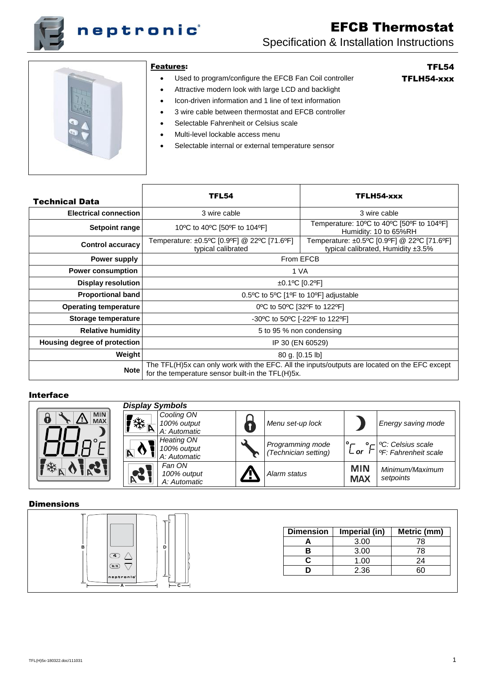

# EFCB Thermostat Specification & Installation Instructions



#### Features:

Used to program/configure the EFCB Fan Coil controller

# TFL54 TFLH54-xxx

- Attractive modern look with large LCD and backlight
- Icon-driven information and 1 line of text information
- 3 wire cable between thermostat and EFCB controller
- Selectable Fahrenheit or Celsius scale
- Multi-level lockable access menu
- Selectable internal or external temperature sensor

| Technical Data               | <b>TFL54</b>                                                                                                                                       | TFLH54-xxx                                                                              |  |
|------------------------------|----------------------------------------------------------------------------------------------------------------------------------------------------|-----------------------------------------------------------------------------------------|--|
| <b>Electrical connection</b> | 3 wire cable                                                                                                                                       | 3 wire cable                                                                            |  |
| Setpoint range               | 10°C to 40°C [50°F to 104°F]                                                                                                                       | Temperature: 10°C to 40°C [50°F to 104°F]<br>Humidity: 10 to 65%RH                      |  |
| <b>Control accuracy</b>      | Temperature: ±0.5°C [0.9°F] @ 22°C [71.6°F]<br>typical calibrated                                                                                  | Temperature: ±0.5°C [0.9°F] @ 22°C [71.6°F]<br>typical calibrated, Humidity $\pm 3.5\%$ |  |
| Power supply                 | From EFCB                                                                                                                                          |                                                                                         |  |
| <b>Power consumption</b>     | 1 VA                                                                                                                                               |                                                                                         |  |
| Display resolution           | $±0.1$ °C [0.2°F]                                                                                                                                  |                                                                                         |  |
| Proportional band            | 0.5°C to 5°C [1°F to 10°F] adjustable                                                                                                              |                                                                                         |  |
| <b>Operating temperature</b> | 0°C to 50°C [32°F to 122°F]                                                                                                                        |                                                                                         |  |
| Storage temperature          | -30°C to 50°C [-22°F to 122°F]                                                                                                                     |                                                                                         |  |
| <b>Relative humidity</b>     | 5 to 95 % non condensing                                                                                                                           |                                                                                         |  |
| Housing degree of protection | IP 30 (EN 60529)                                                                                                                                   |                                                                                         |  |
| Weight                       | 80 g. [0.15 lb]                                                                                                                                    |                                                                                         |  |
| <b>Note</b>                  | The TFL(H)5x can only work with the EFC. All the inputs/outputs are located on the EFC except<br>for the temperature sensor built-in the TFL(H)5x. |                                                                                         |  |

#### Interface

|                               | <b>Display Symbols</b>                 |                                                  |            |                                          |                          |                                                                   |
|-------------------------------|----------------------------------------|--------------------------------------------------|------------|------------------------------------------|--------------------------|-------------------------------------------------------------------|
| <b>MIN</b><br>d<br><b>MAX</b> | $\mathbf{F}_{\mathbf{W}_{\mathbf{R}}}$ | Cooling ON<br>100% output<br>A: Automatic        |            | Menu set-up lock                         |                          | Energy saving mode                                                |
| —                             | 'A                                     | <b>Heating ON</b><br>100% output<br>A: Automatic |            | Programming mode<br>(Technician setting) | ∟ or                     | <sup>o</sup> C: Celsius scale<br><sup>o</sup> F: Fahrenheit scale |
| 一举                            | <b>PA</b>                              | Fan ON<br>100% output<br>A: Automatic            | <u>an </u> | Alarm status                             | <b>MIN</b><br><b>MAX</b> | Minimum/Maximum<br>setpoints                                      |

### **Dimensions**



| <b>Dimension</b> | Imperial (in) | Metric (mm) |
|------------------|---------------|-------------|
|                  | 3.00          | 78          |
|                  | 3.00          | 78          |
|                  | 1.00          | 24          |
|                  | 2.36          |             |